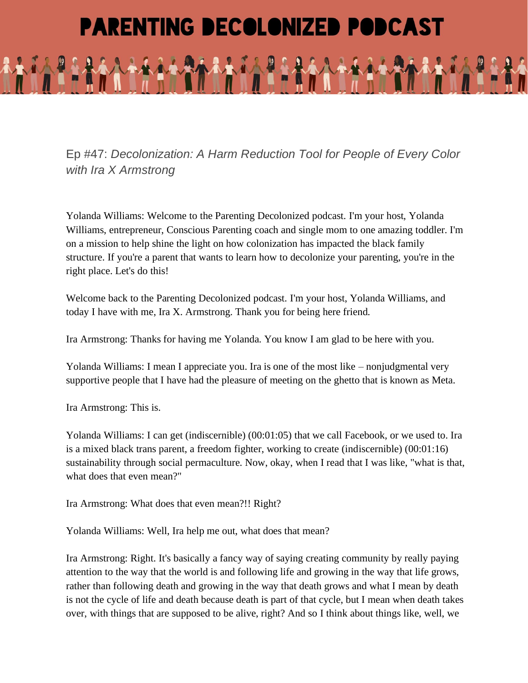## **PARENTING DECOLONIZED PODCAST**

Ep #47: *Decolonization: A Harm Reduction Tool for People of Every Color with Ira X Armstrong*

Yolanda Williams: Welcome to the Parenting Decolonized podcast. I'm your host, Yolanda Williams, entrepreneur, Conscious Parenting coach and single mom to one amazing toddler. I'm on a mission to help shine the light on how colonization has impacted the black family structure. If you're a parent that wants to learn how to decolonize your parenting, you're in the right place. Let's do this!

Welcome back to the Parenting Decolonized podcast. I'm your host, Yolanda Williams, and today I have with me, Ira X. Armstrong. Thank you for being here friend.

Ira Armstrong: Thanks for having me Yolanda. You know I am glad to be here with you.

Yolanda Williams: I mean I appreciate you. Ira is one of the most like – nonjudgmental very supportive people that I have had the pleasure of meeting on the ghetto that is known as Meta.

Ira Armstrong: This is.

Yolanda Williams: I can get (indiscernible) (00:01:05) that we call Facebook, or we used to. Ira is a mixed black trans parent, a freedom fighter, working to create (indiscernible) (00:01:16) sustainability through social permaculture. Now, okay, when I read that I was like, "what is that, what does that even mean?"

Ira Armstrong: What does that even mean?!! Right?

Yolanda Williams: Well, Ira help me out, what does that mean?

Ira Armstrong: Right. It's basically a fancy way of saying creating community by really paying attention to the way that the world is and following life and growing in the way that life grows, rather than following death and growing in the way that death grows and what I mean by death is not the cycle of life and death because death is part of that cycle, but I mean when death takes over, with things that are supposed to be alive, right? And so I think about things like, well, we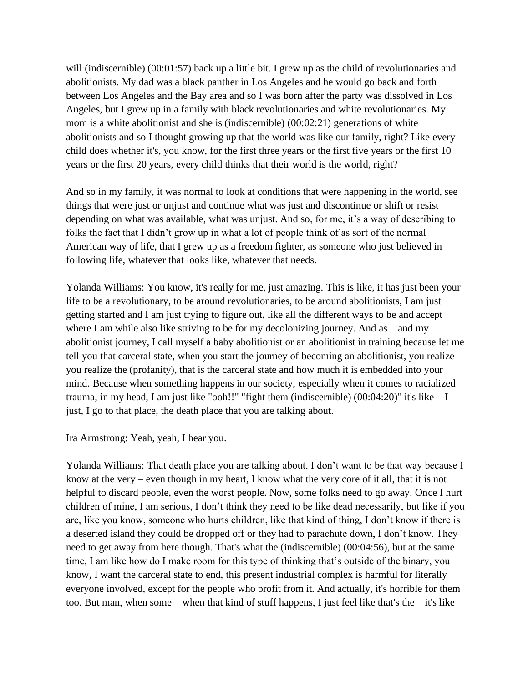will (indiscernible)  $(00:01:57)$  back up a little bit. I grew up as the child of revolutionaries and abolitionists. My dad was a black panther in Los Angeles and he would go back and forth between Los Angeles and the Bay area and so I was born after the party was dissolved in Los Angeles, but I grew up in a family with black revolutionaries and white revolutionaries. My mom is a white abolitionist and she is (indiscernible) (00:02:21) generations of white abolitionists and so I thought growing up that the world was like our family, right? Like every child does whether it's, you know, for the first three years or the first five years or the first 10 years or the first 20 years, every child thinks that their world is the world, right?

And so in my family, it was normal to look at conditions that were happening in the world, see things that were just or unjust and continue what was just and discontinue or shift or resist depending on what was available, what was unjust. And so, for me, it's a way of describing to folks the fact that I didn't grow up in what a lot of people think of as sort of the normal American way of life, that I grew up as a freedom fighter, as someone who just believed in following life, whatever that looks like, whatever that needs.

Yolanda Williams: You know, it's really for me, just amazing. This is like, it has just been your life to be a revolutionary, to be around revolutionaries, to be around abolitionists, I am just getting started and I am just trying to figure out, like all the different ways to be and accept where I am while also like striving to be for my decolonizing journey. And as – and my abolitionist journey, I call myself a baby abolitionist or an abolitionist in training because let me tell you that carceral state, when you start the journey of becoming an abolitionist, you realize – you realize the (profanity), that is the carceral state and how much it is embedded into your mind. Because when something happens in our society, especially when it comes to racialized trauma, in my head, I am just like "ooh!!" "fight them (indiscernible)  $(00:04:20)$ " it's like  $-I$ just, I go to that place, the death place that you are talking about.

Ira Armstrong: Yeah, yeah, I hear you.

Yolanda Williams: That death place you are talking about. I don't want to be that way because I know at the very – even though in my heart, I know what the very core of it all, that it is not helpful to discard people, even the worst people. Now, some folks need to go away. Once I hurt children of mine, I am serious, I don't think they need to be like dead necessarily, but like if you are, like you know, someone who hurts children, like that kind of thing, I don't know if there is a deserted island they could be dropped off or they had to parachute down, I don't know. They need to get away from here though. That's what the (indiscernible) (00:04:56), but at the same time, I am like how do I make room for this type of thinking that's outside of the binary, you know, I want the carceral state to end, this present industrial complex is harmful for literally everyone involved, except for the people who profit from it. And actually, it's horrible for them too. But man, when some – when that kind of stuff happens, I just feel like that's the – it's like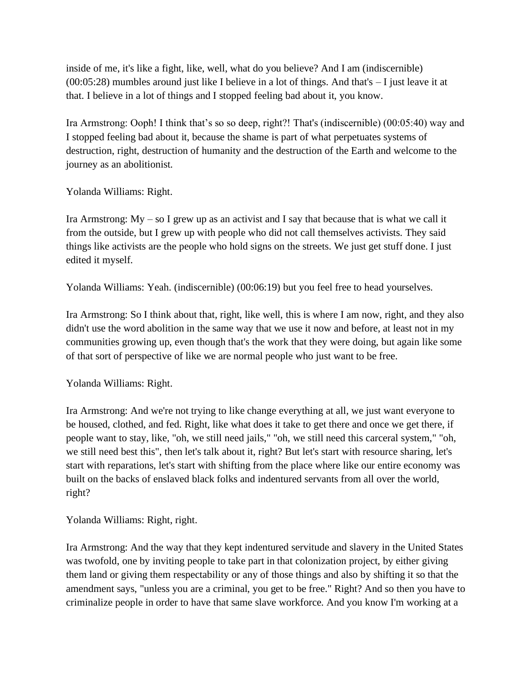inside of me, it's like a fight, like, well, what do you believe? And I am (indiscernible) (00:05:28) mumbles around just like I believe in a lot of things. And that's – I just leave it at that. I believe in a lot of things and I stopped feeling bad about it, you know.

Ira Armstrong: Ooph! I think that's so so deep, right?! That's (indiscernible) (00:05:40) way and I stopped feeling bad about it, because the shame is part of what perpetuates systems of destruction, right, destruction of humanity and the destruction of the Earth and welcome to the journey as an abolitionist.

Yolanda Williams: Right.

Ira Armstrong:  $My - so I$  grew up as an activist and I say that because that is what we call it from the outside, but I grew up with people who did not call themselves activists. They said things like activists are the people who hold signs on the streets. We just get stuff done. I just edited it myself.

Yolanda Williams: Yeah. (indiscernible) (00:06:19) but you feel free to head yourselves.

Ira Armstrong: So I think about that, right, like well, this is where I am now, right, and they also didn't use the word abolition in the same way that we use it now and before, at least not in my communities growing up, even though that's the work that they were doing, but again like some of that sort of perspective of like we are normal people who just want to be free.

Yolanda Williams: Right.

Ira Armstrong: And we're not trying to like change everything at all, we just want everyone to be housed, clothed, and fed. Right, like what does it take to get there and once we get there, if people want to stay, like, "oh, we still need jails," "oh, we still need this carceral system," "oh, we still need best this", then let's talk about it, right? But let's start with resource sharing, let's start with reparations, let's start with shifting from the place where like our entire economy was built on the backs of enslaved black folks and indentured servants from all over the world, right?

Yolanda Williams: Right, right.

Ira Armstrong: And the way that they kept indentured servitude and slavery in the United States was twofold, one by inviting people to take part in that colonization project, by either giving them land or giving them respectability or any of those things and also by shifting it so that the amendment says, "unless you are a criminal, you get to be free." Right? And so then you have to criminalize people in order to have that same slave workforce. And you know I'm working at a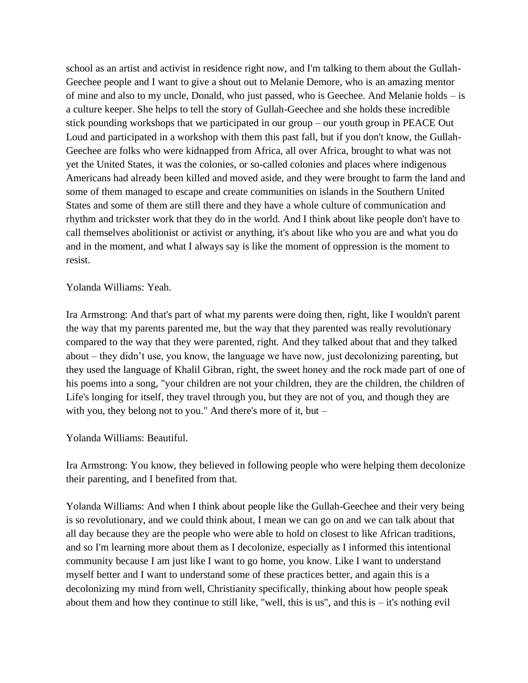school as an artist and activist in residence right now, and I'm talking to them about the Gullah-Geechee people and I want to give a shout out to Melanie Demore, who is an amazing mentor of mine and also to my uncle, Donald, who just passed, who is Geechee. And Melanie holds – is a culture keeper. She helps to tell the story of Gullah-Geechee and she holds these incredible stick pounding workshops that we participated in our group – our youth group in PEACE Out Loud and participated in a workshop with them this past fall, but if you don't know, the Gullah-Geechee are folks who were kidnapped from Africa, all over Africa, brought to what was not yet the United States, it was the colonies, or so-called colonies and places where indigenous Americans had already been killed and moved aside, and they were brought to farm the land and some of them managed to escape and create communities on islands in the Southern United States and some of them are still there and they have a whole culture of communication and rhythm and trickster work that they do in the world. And I think about like people don't have to call themselves abolitionist or activist or anything, it's about like who you are and what you do and in the moment, and what I always say is like the moment of oppression is the moment to resist.

Yolanda Williams: Yeah.

Ira Armstrong: And that's part of what my parents were doing then, right, like I wouldn't parent the way that my parents parented me, but the way that they parented was really revolutionary compared to the way that they were parented, right. And they talked about that and they talked about – they didn't use, you know, the language we have now, just decolonizing parenting, but they used the language of Khalil Gibran, right, the sweet honey and the rock made part of one of his poems into a song, "your children are not your children, they are the children, the children of Life's longing for itself, they travel through you, but they are not of you, and though they are with you, they belong not to you." And there's more of it, but –

Yolanda Williams: Beautiful.

Ira Armstrong: You know, they believed in following people who were helping them decolonize their parenting, and I benefited from that.

Yolanda Williams: And when I think about people like the Gullah-Geechee and their very being is so revolutionary, and we could think about, I mean we can go on and we can talk about that all day because they are the people who were able to hold on closest to like African traditions, and so I'm learning more about them as I decolonize, especially as I informed this intentional community because I am just like I want to go home, you know. Like I want to understand myself better and I want to understand some of these practices better, and again this is a decolonizing my mind from well, Christianity specifically, thinking about how people speak about them and how they continue to still like, "well, this is us", and this is  $-$  it's nothing evil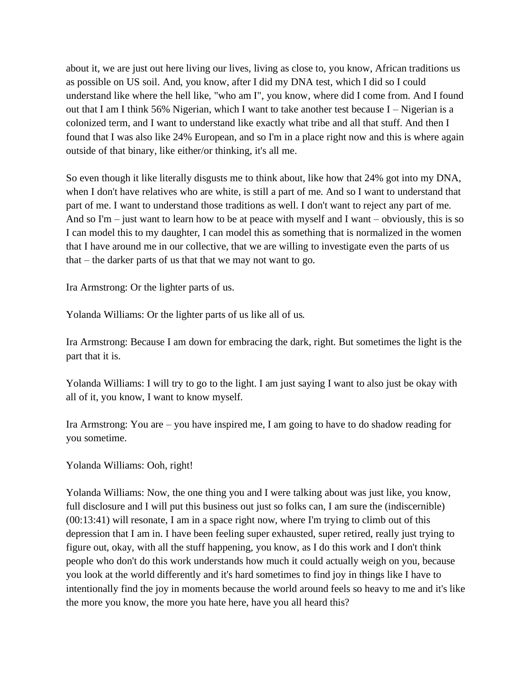about it, we are just out here living our lives, living as close to, you know, African traditions us as possible on US soil. And, you know, after I did my DNA test, which I did so I could understand like where the hell like, "who am I", you know, where did I come from. And I found out that I am I think 56% Nigerian, which I want to take another test because I – Nigerian is a colonized term, and I want to understand like exactly what tribe and all that stuff. And then I found that I was also like 24% European, and so I'm in a place right now and this is where again outside of that binary, like either/or thinking, it's all me.

So even though it like literally disgusts me to think about, like how that 24% got into my DNA, when I don't have relatives who are white, is still a part of me. And so I want to understand that part of me. I want to understand those traditions as well. I don't want to reject any part of me. And so  $\text{Im}$  – just want to learn how to be at peace with myself and I want – obviously, this is so I can model this to my daughter, I can model this as something that is normalized in the women that I have around me in our collective, that we are willing to investigate even the parts of us that – the darker parts of us that that we may not want to go.

Ira Armstrong: Or the lighter parts of us.

Yolanda Williams: Or the lighter parts of us like all of us.

Ira Armstrong: Because I am down for embracing the dark, right. But sometimes the light is the part that it is.

Yolanda Williams: I will try to go to the light. I am just saying I want to also just be okay with all of it, you know, I want to know myself.

Ira Armstrong: You are – you have inspired me, I am going to have to do shadow reading for you sometime.

Yolanda Williams: Ooh, right!

Yolanda Williams: Now, the one thing you and I were talking about was just like, you know, full disclosure and I will put this business out just so folks can, I am sure the (indiscernible) (00:13:41) will resonate, I am in a space right now, where I'm trying to climb out of this depression that I am in. I have been feeling super exhausted, super retired, really just trying to figure out, okay, with all the stuff happening, you know, as I do this work and I don't think people who don't do this work understands how much it could actually weigh on you, because you look at the world differently and it's hard sometimes to find joy in things like I have to intentionally find the joy in moments because the world around feels so heavy to me and it's like the more you know, the more you hate here, have you all heard this?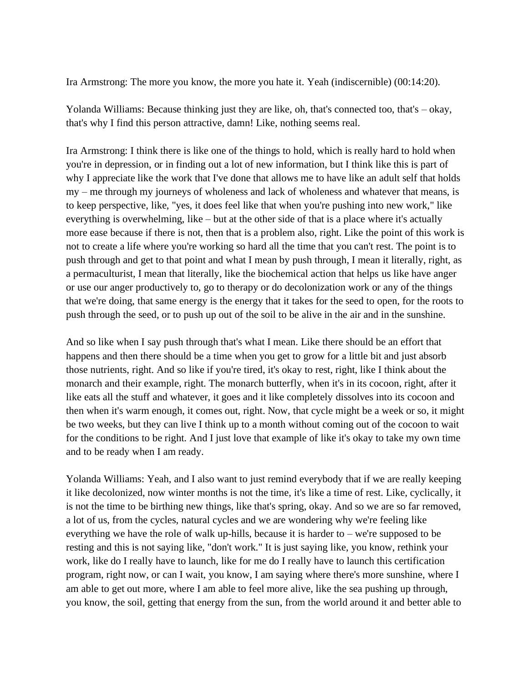Ira Armstrong: The more you know, the more you hate it. Yeah (indiscernible) (00:14:20).

Yolanda Williams: Because thinking just they are like, oh, that's connected too, that's – okay, that's why I find this person attractive, damn! Like, nothing seems real.

Ira Armstrong: I think there is like one of the things to hold, which is really hard to hold when you're in depression, or in finding out a lot of new information, but I think like this is part of why I appreciate like the work that I've done that allows me to have like an adult self that holds my – me through my journeys of wholeness and lack of wholeness and whatever that means, is to keep perspective, like, "yes, it does feel like that when you're pushing into new work," like everything is overwhelming, like – but at the other side of that is a place where it's actually more ease because if there is not, then that is a problem also, right. Like the point of this work is not to create a life where you're working so hard all the time that you can't rest. The point is to push through and get to that point and what I mean by push through, I mean it literally, right, as a permaculturist, I mean that literally, like the biochemical action that helps us like have anger or use our anger productively to, go to therapy or do decolonization work or any of the things that we're doing, that same energy is the energy that it takes for the seed to open, for the roots to push through the seed, or to push up out of the soil to be alive in the air and in the sunshine.

And so like when I say push through that's what I mean. Like there should be an effort that happens and then there should be a time when you get to grow for a little bit and just absorb those nutrients, right. And so like if you're tired, it's okay to rest, right, like I think about the monarch and their example, right. The monarch butterfly, when it's in its cocoon, right, after it like eats all the stuff and whatever, it goes and it like completely dissolves into its cocoon and then when it's warm enough, it comes out, right. Now, that cycle might be a week or so, it might be two weeks, but they can live I think up to a month without coming out of the cocoon to wait for the conditions to be right. And I just love that example of like it's okay to take my own time and to be ready when I am ready.

Yolanda Williams: Yeah, and I also want to just remind everybody that if we are really keeping it like decolonized, now winter months is not the time, it's like a time of rest. Like, cyclically, it is not the time to be birthing new things, like that's spring, okay. And so we are so far removed, a lot of us, from the cycles, natural cycles and we are wondering why we're feeling like everything we have the role of walk up-hills, because it is harder to – we're supposed to be resting and this is not saying like, "don't work." It is just saying like, you know, rethink your work, like do I really have to launch, like for me do I really have to launch this certification program, right now, or can I wait, you know, I am saying where there's more sunshine, where I am able to get out more, where I am able to feel more alive, like the sea pushing up through, you know, the soil, getting that energy from the sun, from the world around it and better able to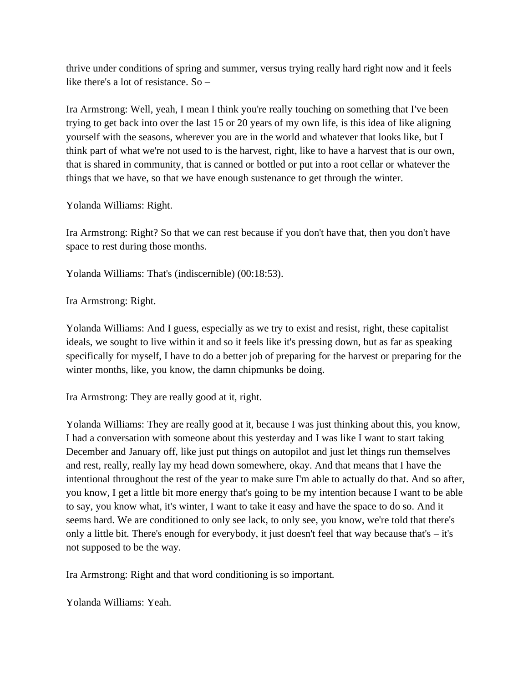thrive under conditions of spring and summer, versus trying really hard right now and it feels like there's a lot of resistance. So –

Ira Armstrong: Well, yeah, I mean I think you're really touching on something that I've been trying to get back into over the last 15 or 20 years of my own life, is this idea of like aligning yourself with the seasons, wherever you are in the world and whatever that looks like, but I think part of what we're not used to is the harvest, right, like to have a harvest that is our own, that is shared in community, that is canned or bottled or put into a root cellar or whatever the things that we have, so that we have enough sustenance to get through the winter.

Yolanda Williams: Right.

Ira Armstrong: Right? So that we can rest because if you don't have that, then you don't have space to rest during those months.

Yolanda Williams: That's (indiscernible) (00:18:53).

Ira Armstrong: Right.

Yolanda Williams: And I guess, especially as we try to exist and resist, right, these capitalist ideals, we sought to live within it and so it feels like it's pressing down, but as far as speaking specifically for myself, I have to do a better job of preparing for the harvest or preparing for the winter months, like, you know, the damn chipmunks be doing.

Ira Armstrong: They are really good at it, right.

Yolanda Williams: They are really good at it, because I was just thinking about this, you know, I had a conversation with someone about this yesterday and I was like I want to start taking December and January off, like just put things on autopilot and just let things run themselves and rest, really, really lay my head down somewhere, okay. And that means that I have the intentional throughout the rest of the year to make sure I'm able to actually do that. And so after, you know, I get a little bit more energy that's going to be my intention because I want to be able to say, you know what, it's winter, I want to take it easy and have the space to do so. And it seems hard. We are conditioned to only see lack, to only see, you know, we're told that there's only a little bit. There's enough for everybody, it just doesn't feel that way because that's – it's not supposed to be the way.

Ira Armstrong: Right and that word conditioning is so important.

Yolanda Williams: Yeah.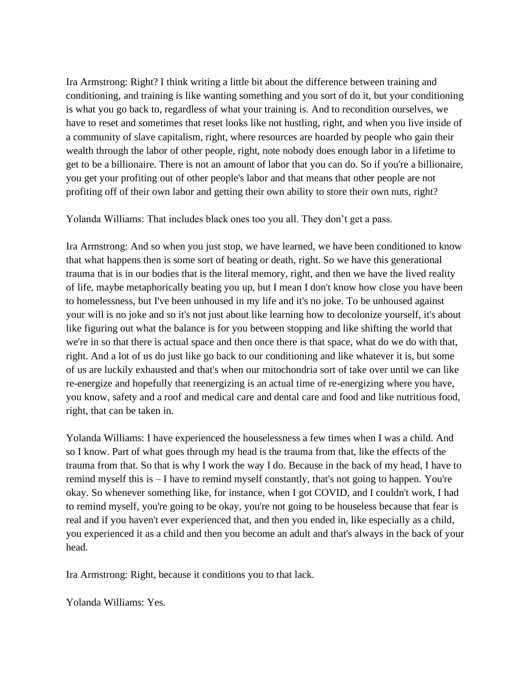Ira Armstrong: Right? I think writing a little bit about the difference between training and conditioning, and training is like wanting something and you sort of do it, but your conditioning is what you go back to, regardless of what your training is. And to recondition ourselves, we have to reset and sometimes that reset looks like not hustling, right, and when you live inside of a community of slave capitalism, right, where resources are hoarded by people who gain their wealth through the labor of other people, right, note nobody does enough labor in a lifetime to get to be a billionaire. There is not an amount of labor that you can do. So if you're a billionaire, you get your profiting out of other people's labor and that means that other people are not profiting off of their own labor and getting their own ability to store their own nuts, right?

Yolanda Williams: That includes black ones too you all. They don't get a pass.

Ira Armstrong: And so when you just stop, we have learned, we have been conditioned to know that what happens then is some sort of beating or death, right. So we have this generational trauma that is in our bodies that is the literal memory, right, and then we have the lived reality of life, maybe metaphorically beating you up, but I mean I don't know how close you have been to homelessness, but I've been unhoused in my life and it's no joke. To be unhoused against your will is no joke and so it's not just about like learning how to decolonize yourself, it's about like figuring out what the balance is for you between stopping and like shifting the world that we're in so that there is actual space and then once there is that space, what do we do with that, right. And a lot of us do just like go back to our conditioning and like whatever it is, but some of us are luckily exhausted and that's when our mitochondria sort of take over until we can like re-energize and hopefully that reenergizing is an actual time of re-energizing where you have, you know, safety and a roof and medical care and dental care and food and like nutritious food, right, that can be taken in.

Yolanda Williams: I have experienced the houselessness a few times when I was a child. And so I know. Part of what goes through my head is the trauma from that, like the effects of the trauma from that. So that is why I work the way I do. Because in the back of my head, I have to remind myself this is – I have to remind myself constantly, that's not going to happen. You're okay. So whenever something like, for instance, when I got COVID, and I couldn't work, I had to remind myself, you're going to be okay, you're not going to be houseless because that fear is real and if you haven't ever experienced that, and then you ended in, like especially as a child, you experienced it as a child and then you become an adult and that's always in the back of your head.

Ira Armstrong: Right, because it conditions you to that lack.

Yolanda Williams: Yes.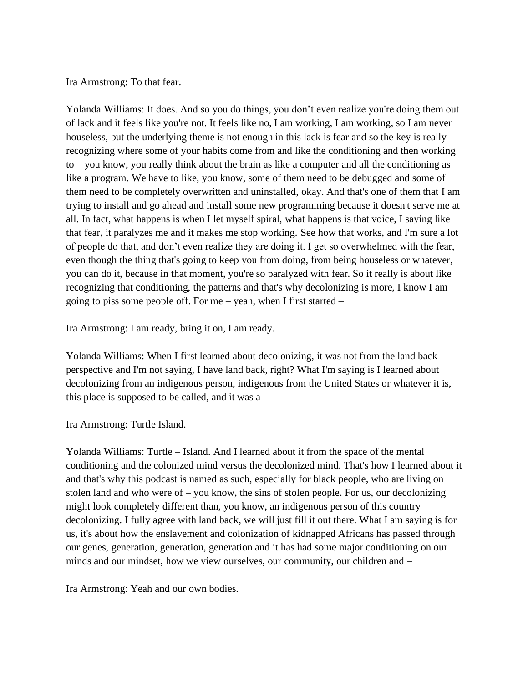Ira Armstrong: To that fear.

Yolanda Williams: It does. And so you do things, you don't even realize you're doing them out of lack and it feels like you're not. It feels like no, I am working, I am working, so I am never houseless, but the underlying theme is not enough in this lack is fear and so the key is really recognizing where some of your habits come from and like the conditioning and then working to – you know, you really think about the brain as like a computer and all the conditioning as like a program. We have to like, you know, some of them need to be debugged and some of them need to be completely overwritten and uninstalled, okay. And that's one of them that I am trying to install and go ahead and install some new programming because it doesn't serve me at all. In fact, what happens is when I let myself spiral, what happens is that voice, I saying like that fear, it paralyzes me and it makes me stop working. See how that works, and I'm sure a lot of people do that, and don't even realize they are doing it. I get so overwhelmed with the fear, even though the thing that's going to keep you from doing, from being houseless or whatever, you can do it, because in that moment, you're so paralyzed with fear. So it really is about like recognizing that conditioning, the patterns and that's why decolonizing is more, I know I am going to piss some people off. For me – yeah, when I first started –

Ira Armstrong: I am ready, bring it on, I am ready.

Yolanda Williams: When I first learned about decolonizing, it was not from the land back perspective and I'm not saying, I have land back, right? What I'm saying is I learned about decolonizing from an indigenous person, indigenous from the United States or whatever it is, this place is supposed to be called, and it was  $a -$ 

Ira Armstrong: Turtle Island.

Yolanda Williams: Turtle – Island. And I learned about it from the space of the mental conditioning and the colonized mind versus the decolonized mind. That's how I learned about it and that's why this podcast is named as such, especially for black people, who are living on stolen land and who were of – you know, the sins of stolen people. For us, our decolonizing might look completely different than, you know, an indigenous person of this country decolonizing. I fully agree with land back, we will just fill it out there. What I am saying is for us, it's about how the enslavement and colonization of kidnapped Africans has passed through our genes, generation, generation, generation and it has had some major conditioning on our minds and our mindset, how we view ourselves, our community, our children and –

Ira Armstrong: Yeah and our own bodies.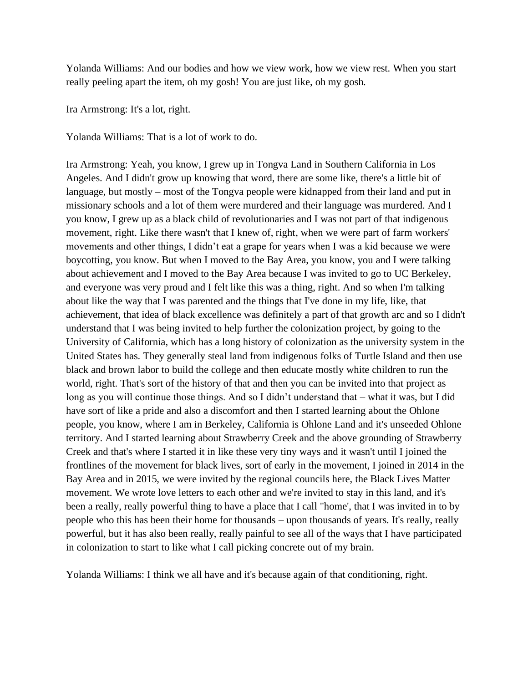Yolanda Williams: And our bodies and how we view work, how we view rest. When you start really peeling apart the item, oh my gosh! You are just like, oh my gosh.

Ira Armstrong: It's a lot, right.

Yolanda Williams: That is a lot of work to do.

Ira Armstrong: Yeah, you know, I grew up in Tongva Land in Southern California in Los Angeles. And I didn't grow up knowing that word, there are some like, there's a little bit of language, but mostly – most of the Tongva people were kidnapped from their land and put in missionary schools and a lot of them were murdered and their language was murdered. And I – you know, I grew up as a black child of revolutionaries and I was not part of that indigenous movement, right. Like there wasn't that I knew of, right, when we were part of farm workers' movements and other things, I didn't eat a grape for years when I was a kid because we were boycotting, you know. But when I moved to the Bay Area, you know, you and I were talking about achievement and I moved to the Bay Area because I was invited to go to UC Berkeley, and everyone was very proud and I felt like this was a thing, right. And so when I'm talking about like the way that I was parented and the things that I've done in my life, like, that achievement, that idea of black excellence was definitely a part of that growth arc and so I didn't understand that I was being invited to help further the colonization project, by going to the University of California, which has a long history of colonization as the university system in the United States has. They generally steal land from indigenous folks of Turtle Island and then use black and brown labor to build the college and then educate mostly white children to run the world, right. That's sort of the history of that and then you can be invited into that project as long as you will continue those things. And so I didn't understand that – what it was, but I did have sort of like a pride and also a discomfort and then I started learning about the Ohlone people, you know, where I am in Berkeley, California is Ohlone Land and it's unseeded Ohlone territory. And I started learning about Strawberry Creek and the above grounding of Strawberry Creek and that's where I started it in like these very tiny ways and it wasn't until I joined the frontlines of the movement for black lives, sort of early in the movement, I joined in 2014 in the Bay Area and in 2015, we were invited by the regional councils here, the Black Lives Matter movement. We wrote love letters to each other and we're invited to stay in this land, and it's been a really, really powerful thing to have a place that I call "home', that I was invited in to by people who this has been their home for thousands – upon thousands of years. It's really, really powerful, but it has also been really, really painful to see all of the ways that I have participated in colonization to start to like what I call picking concrete out of my brain.

Yolanda Williams: I think we all have and it's because again of that conditioning, right.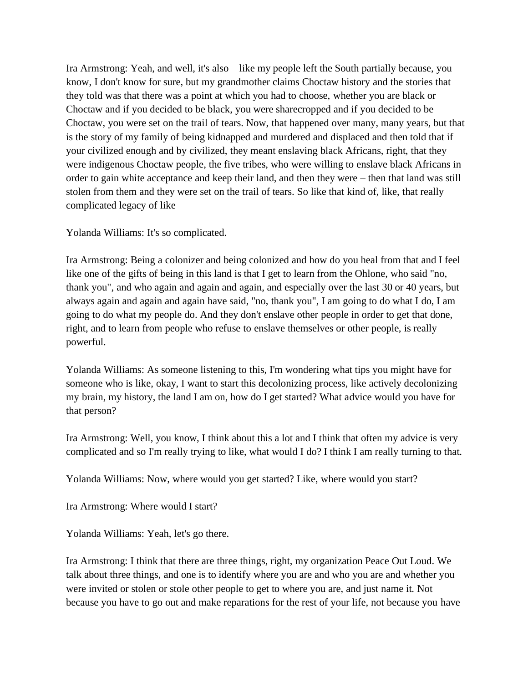Ira Armstrong: Yeah, and well, it's also – like my people left the South partially because, you know, I don't know for sure, but my grandmother claims Choctaw history and the stories that they told was that there was a point at which you had to choose, whether you are black or Choctaw and if you decided to be black, you were sharecropped and if you decided to be Choctaw, you were set on the trail of tears. Now, that happened over many, many years, but that is the story of my family of being kidnapped and murdered and displaced and then told that if your civilized enough and by civilized, they meant enslaving black Africans, right, that they were indigenous Choctaw people, the five tribes, who were willing to enslave black Africans in order to gain white acceptance and keep their land, and then they were – then that land was still stolen from them and they were set on the trail of tears. So like that kind of, like, that really complicated legacy of like –

Yolanda Williams: It's so complicated.

Ira Armstrong: Being a colonizer and being colonized and how do you heal from that and I feel like one of the gifts of being in this land is that I get to learn from the Ohlone, who said "no, thank you", and who again and again and again, and especially over the last 30 or 40 years, but always again and again and again have said, "no, thank you", I am going to do what I do, I am going to do what my people do. And they don't enslave other people in order to get that done, right, and to learn from people who refuse to enslave themselves or other people, is really powerful.

Yolanda Williams: As someone listening to this, I'm wondering what tips you might have for someone who is like, okay, I want to start this decolonizing process, like actively decolonizing my brain, my history, the land I am on, how do I get started? What advice would you have for that person?

Ira Armstrong: Well, you know, I think about this a lot and I think that often my advice is very complicated and so I'm really trying to like, what would I do? I think I am really turning to that.

Yolanda Williams: Now, where would you get started? Like, where would you start?

Ira Armstrong: Where would I start?

Yolanda Williams: Yeah, let's go there.

Ira Armstrong: I think that there are three things, right, my organization Peace Out Loud. We talk about three things, and one is to identify where you are and who you are and whether you were invited or stolen or stole other people to get to where you are, and just name it. Not because you have to go out and make reparations for the rest of your life, not because you have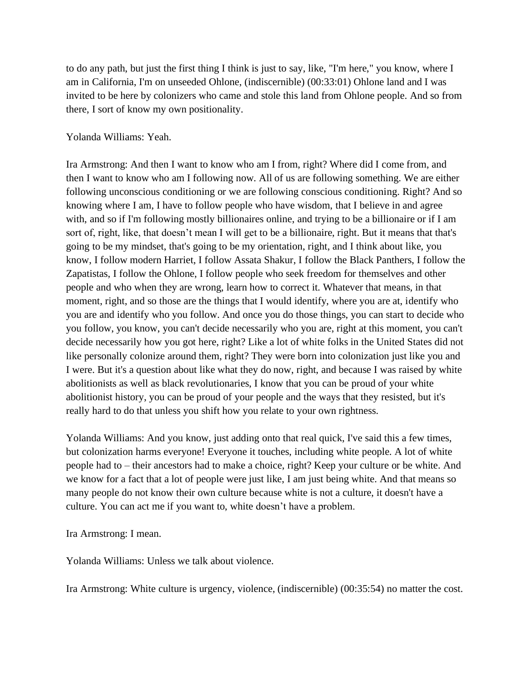to do any path, but just the first thing I think is just to say, like, "I'm here," you know, where I am in California, I'm on unseeded Ohlone, (indiscernible) (00:33:01) Ohlone land and I was invited to be here by colonizers who came and stole this land from Ohlone people. And so from there, I sort of know my own positionality.

## Yolanda Williams: Yeah.

Ira Armstrong: And then I want to know who am I from, right? Where did I come from, and then I want to know who am I following now. All of us are following something. We are either following unconscious conditioning or we are following conscious conditioning. Right? And so knowing where I am, I have to follow people who have wisdom, that I believe in and agree with, and so if I'm following mostly billionaires online, and trying to be a billionaire or if I am sort of, right, like, that doesn't mean I will get to be a billionaire, right. But it means that that's going to be my mindset, that's going to be my orientation, right, and I think about like, you know, I follow modern Harriet, I follow Assata Shakur, I follow the Black Panthers, I follow the Zapatistas, I follow the Ohlone, I follow people who seek freedom for themselves and other people and who when they are wrong, learn how to correct it. Whatever that means, in that moment, right, and so those are the things that I would identify, where you are at, identify who you are and identify who you follow. And once you do those things, you can start to decide who you follow, you know, you can't decide necessarily who you are, right at this moment, you can't decide necessarily how you got here, right? Like a lot of white folks in the United States did not like personally colonize around them, right? They were born into colonization just like you and I were. But it's a question about like what they do now, right, and because I was raised by white abolitionists as well as black revolutionaries, I know that you can be proud of your white abolitionist history, you can be proud of your people and the ways that they resisted, but it's really hard to do that unless you shift how you relate to your own rightness.

Yolanda Williams: And you know, just adding onto that real quick, I've said this a few times, but colonization harms everyone! Everyone it touches, including white people. A lot of white people had to – their ancestors had to make a choice, right? Keep your culture or be white. And we know for a fact that a lot of people were just like, I am just being white. And that means so many people do not know their own culture because white is not a culture, it doesn't have a culture. You can act me if you want to, white doesn't have a problem.

Ira Armstrong: I mean.

Yolanda Williams: Unless we talk about violence.

Ira Armstrong: White culture is urgency, violence, (indiscernible) (00:35:54) no matter the cost.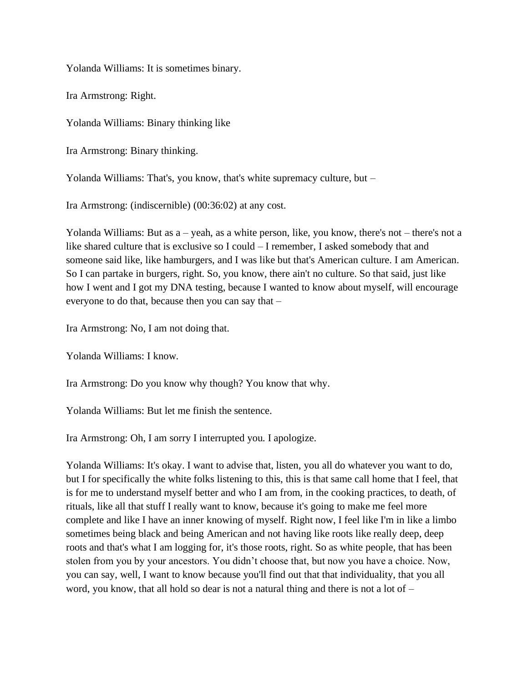Yolanda Williams: It is sometimes binary.

Ira Armstrong: Right.

Yolanda Williams: Binary thinking like

Ira Armstrong: Binary thinking.

Yolanda Williams: That's, you know, that's white supremacy culture, but –

Ira Armstrong: (indiscernible) (00:36:02) at any cost.

Yolanda Williams: But as a – yeah, as a white person, like, you know, there's not – there's not a like shared culture that is exclusive so I could – I remember, I asked somebody that and someone said like, like hamburgers, and I was like but that's American culture. I am American. So I can partake in burgers, right. So, you know, there ain't no culture. So that said, just like how I went and I got my DNA testing, because I wanted to know about myself, will encourage everyone to do that, because then you can say that –

Ira Armstrong: No, I am not doing that.

Yolanda Williams: I know.

Ira Armstrong: Do you know why though? You know that why.

Yolanda Williams: But let me finish the sentence.

Ira Armstrong: Oh, I am sorry I interrupted you. I apologize.

Yolanda Williams: It's okay. I want to advise that, listen, you all do whatever you want to do, but I for specifically the white folks listening to this, this is that same call home that I feel, that is for me to understand myself better and who I am from, in the cooking practices, to death, of rituals, like all that stuff I really want to know, because it's going to make me feel more complete and like I have an inner knowing of myself. Right now, I feel like I'm in like a limbo sometimes being black and being American and not having like roots like really deep, deep roots and that's what I am logging for, it's those roots, right. So as white people, that has been stolen from you by your ancestors. You didn't choose that, but now you have a choice. Now, you can say, well, I want to know because you'll find out that that individuality, that you all word, you know, that all hold so dear is not a natural thing and there is not a lot of –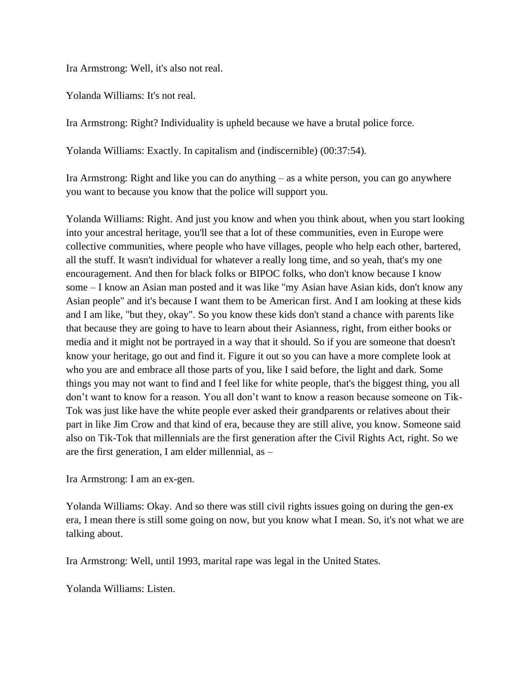Ira Armstrong: Well, it's also not real.

Yolanda Williams: It's not real.

Ira Armstrong: Right? Individuality is upheld because we have a brutal police force.

Yolanda Williams: Exactly. In capitalism and (indiscernible) (00:37:54).

Ira Armstrong: Right and like you can do anything – as a white person, you can go anywhere you want to because you know that the police will support you.

Yolanda Williams: Right. And just you know and when you think about, when you start looking into your ancestral heritage, you'll see that a lot of these communities, even in Europe were collective communities, where people who have villages, people who help each other, bartered, all the stuff. It wasn't individual for whatever a really long time, and so yeah, that's my one encouragement. And then for black folks or BIPOC folks, who don't know because I know some – I know an Asian man posted and it was like "my Asian have Asian kids, don't know any Asian people" and it's because I want them to be American first. And I am looking at these kids and I am like, "but they, okay". So you know these kids don't stand a chance with parents like that because they are going to have to learn about their Asianness, right, from either books or media and it might not be portrayed in a way that it should. So if you are someone that doesn't know your heritage, go out and find it. Figure it out so you can have a more complete look at who you are and embrace all those parts of you, like I said before, the light and dark. Some things you may not want to find and I feel like for white people, that's the biggest thing, you all don't want to know for a reason. You all don't want to know a reason because someone on Tik-Tok was just like have the white people ever asked their grandparents or relatives about their part in like Jim Crow and that kind of era, because they are still alive, you know. Someone said also on Tik-Tok that millennials are the first generation after the Civil Rights Act, right. So we are the first generation, I am elder millennial, as –

Ira Armstrong: I am an ex-gen.

Yolanda Williams: Okay. And so there was still civil rights issues going on during the gen-ex era, I mean there is still some going on now, but you know what I mean. So, it's not what we are talking about.

Ira Armstrong: Well, until 1993, marital rape was legal in the United States.

Yolanda Williams: Listen.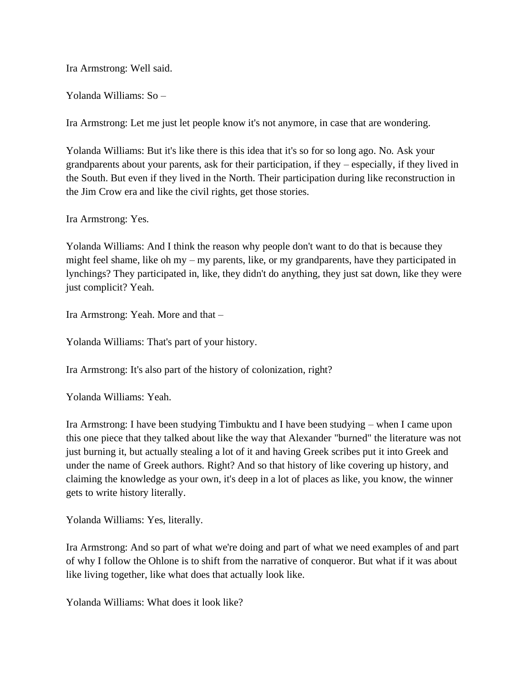Ira Armstrong: Well said.

Yolanda Williams: So –

Ira Armstrong: Let me just let people know it's not anymore, in case that are wondering.

Yolanda Williams: But it's like there is this idea that it's so for so long ago. No. Ask your grandparents about your parents, ask for their participation, if they – especially, if they lived in the South. But even if they lived in the North. Their participation during like reconstruction in the Jim Crow era and like the civil rights, get those stories.

Ira Armstrong: Yes.

Yolanda Williams: And I think the reason why people don't want to do that is because they might feel shame, like oh my – my parents, like, or my grandparents, have they participated in lynchings? They participated in, like, they didn't do anything, they just sat down, like they were just complicit? Yeah.

Ira Armstrong: Yeah. More and that –

Yolanda Williams: That's part of your history.

Ira Armstrong: It's also part of the history of colonization, right?

Yolanda Williams: Yeah.

Ira Armstrong: I have been studying Timbuktu and I have been studying – when I came upon this one piece that they talked about like the way that Alexander "burned" the literature was not just burning it, but actually stealing a lot of it and having Greek scribes put it into Greek and under the name of Greek authors. Right? And so that history of like covering up history, and claiming the knowledge as your own, it's deep in a lot of places as like, you know, the winner gets to write history literally.

Yolanda Williams: Yes, literally.

Ira Armstrong: And so part of what we're doing and part of what we need examples of and part of why I follow the Ohlone is to shift from the narrative of conqueror. But what if it was about like living together, like what does that actually look like.

Yolanda Williams: What does it look like?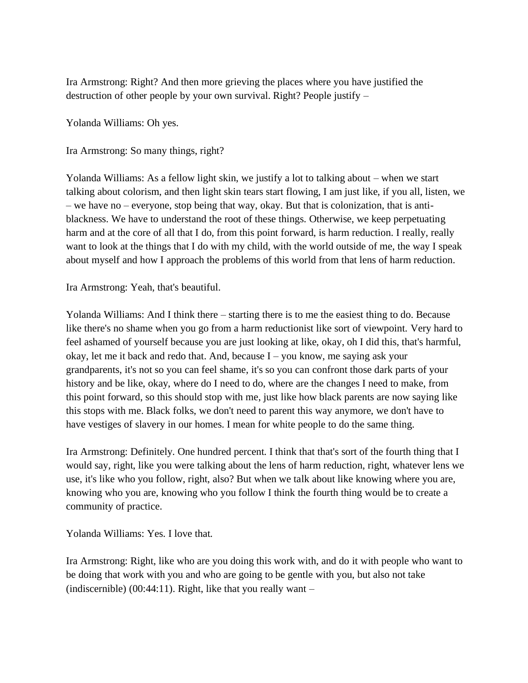Ira Armstrong: Right? And then more grieving the places where you have justified the destruction of other people by your own survival. Right? People justify –

Yolanda Williams: Oh yes.

Ira Armstrong: So many things, right?

Yolanda Williams: As a fellow light skin, we justify a lot to talking about – when we start talking about colorism, and then light skin tears start flowing, I am just like, if you all, listen, we – we have no – everyone, stop being that way, okay. But that is colonization, that is antiblackness. We have to understand the root of these things. Otherwise, we keep perpetuating harm and at the core of all that I do, from this point forward, is harm reduction. I really, really want to look at the things that I do with my child, with the world outside of me, the way I speak about myself and how I approach the problems of this world from that lens of harm reduction.

Ira Armstrong: Yeah, that's beautiful.

Yolanda Williams: And I think there – starting there is to me the easiest thing to do. Because like there's no shame when you go from a harm reductionist like sort of viewpoint. Very hard to feel ashamed of yourself because you are just looking at like, okay, oh I did this, that's harmful, okay, let me it back and redo that. And, because I – you know, me saying ask your grandparents, it's not so you can feel shame, it's so you can confront those dark parts of your history and be like, okay, where do I need to do, where are the changes I need to make, from this point forward, so this should stop with me, just like how black parents are now saying like this stops with me. Black folks, we don't need to parent this way anymore, we don't have to have vestiges of slavery in our homes. I mean for white people to do the same thing.

Ira Armstrong: Definitely. One hundred percent. I think that that's sort of the fourth thing that I would say, right, like you were talking about the lens of harm reduction, right, whatever lens we use, it's like who you follow, right, also? But when we talk about like knowing where you are, knowing who you are, knowing who you follow I think the fourth thing would be to create a community of practice.

Yolanda Williams: Yes. I love that.

Ira Armstrong: Right, like who are you doing this work with, and do it with people who want to be doing that work with you and who are going to be gentle with you, but also not take (indiscernible) (00:44:11). Right, like that you really want  $-$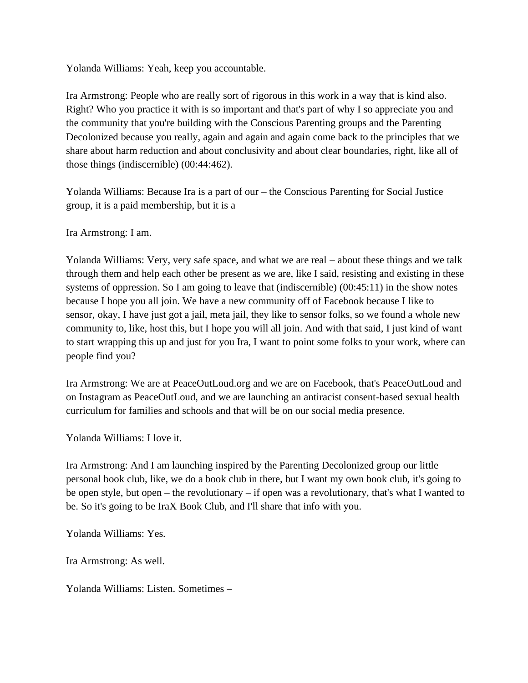Yolanda Williams: Yeah, keep you accountable.

Ira Armstrong: People who are really sort of rigorous in this work in a way that is kind also. Right? Who you practice it with is so important and that's part of why I so appreciate you and the community that you're building with the Conscious Parenting groups and the Parenting Decolonized because you really, again and again and again come back to the principles that we share about harm reduction and about conclusivity and about clear boundaries, right, like all of those things (indiscernible) (00:44:462).

Yolanda Williams: Because Ira is a part of our – the Conscious Parenting for Social Justice group, it is a paid membership, but it is a –

Ira Armstrong: I am.

Yolanda Williams: Very, very safe space, and what we are real – about these things and we talk through them and help each other be present as we are, like I said, resisting and existing in these systems of oppression. So I am going to leave that (indiscernible) (00:45:11) in the show notes because I hope you all join. We have a new community off of Facebook because I like to sensor, okay, I have just got a jail, meta jail, they like to sensor folks, so we found a whole new community to, like, host this, but I hope you will all join. And with that said, I just kind of want to start wrapping this up and just for you Ira, I want to point some folks to your work, where can people find you?

Ira Armstrong: We are at PeaceOutLoud.org and we are on Facebook, that's PeaceOutLoud and on Instagram as PeaceOutLoud, and we are launching an antiracist consent-based sexual health curriculum for families and schools and that will be on our social media presence.

Yolanda Williams: I love it.

Ira Armstrong: And I am launching inspired by the Parenting Decolonized group our little personal book club, like, we do a book club in there, but I want my own book club, it's going to be open style, but open – the revolutionary – if open was a revolutionary, that's what I wanted to be. So it's going to be IraX Book Club, and I'll share that info with you.

Yolanda Williams: Yes.

Ira Armstrong: As well.

Yolanda Williams: Listen. Sometimes –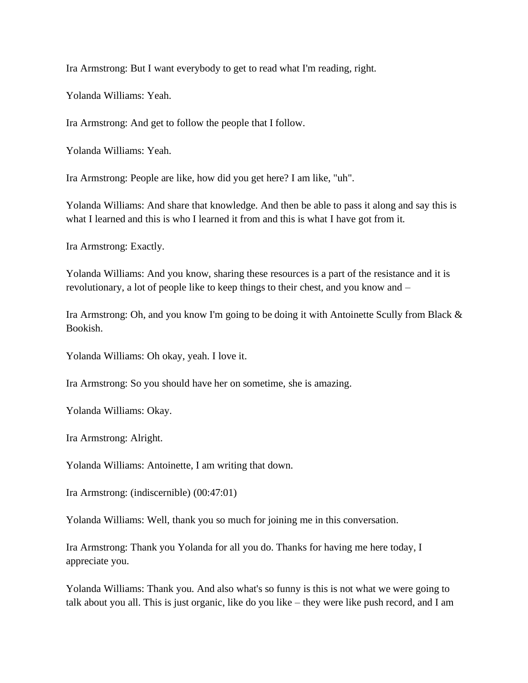Ira Armstrong: But I want everybody to get to read what I'm reading, right.

Yolanda Williams: Yeah.

Ira Armstrong: And get to follow the people that I follow.

Yolanda Williams: Yeah.

Ira Armstrong: People are like, how did you get here? I am like, "uh".

Yolanda Williams: And share that knowledge. And then be able to pass it along and say this is what I learned and this is who I learned it from and this is what I have got from it.

Ira Armstrong: Exactly.

Yolanda Williams: And you know, sharing these resources is a part of the resistance and it is revolutionary, a lot of people like to keep things to their chest, and you know and –

Ira Armstrong: Oh, and you know I'm going to be doing it with Antoinette Scully from Black & Bookish.

Yolanda Williams: Oh okay, yeah. I love it.

Ira Armstrong: So you should have her on sometime, she is amazing.

Yolanda Williams: Okay.

Ira Armstrong: Alright.

Yolanda Williams: Antoinette, I am writing that down.

Ira Armstrong: (indiscernible) (00:47:01)

Yolanda Williams: Well, thank you so much for joining me in this conversation.

Ira Armstrong: Thank you Yolanda for all you do. Thanks for having me here today, I appreciate you.

Yolanda Williams: Thank you. And also what's so funny is this is not what we were going to talk about you all. This is just organic, like do you like – they were like push record, and I am